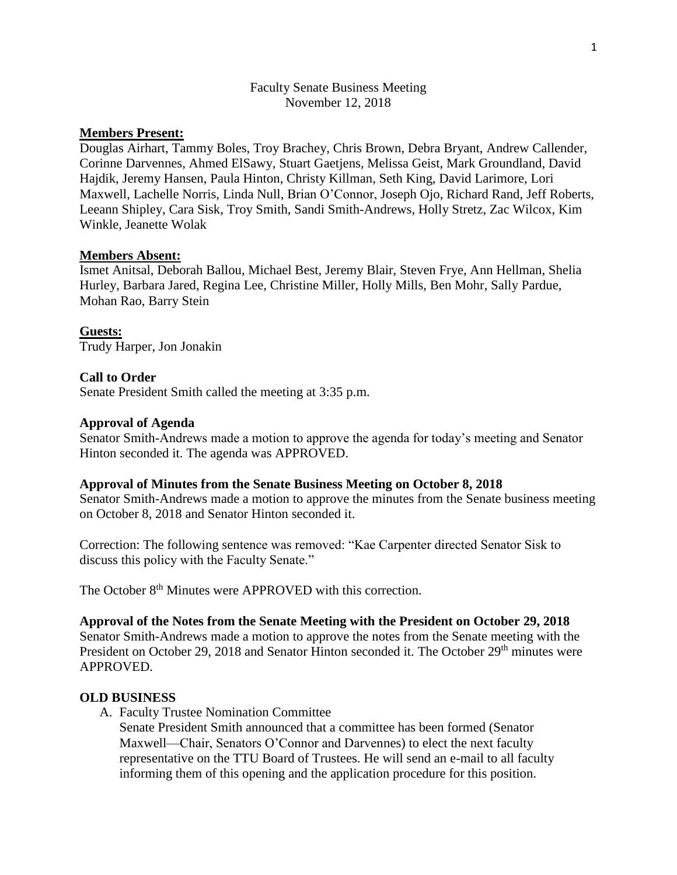# Faculty Senate Business Meeting November 12, 2018

# **Members Present:**

Douglas Airhart, Tammy Boles, Troy Brachey, Chris Brown, Debra Bryant, Andrew Callender, Corinne Darvennes, Ahmed ElSawy, Stuart Gaetjens, Melissa Geist, Mark Groundland, David Hajdik, Jeremy Hansen, Paula Hinton, Christy Killman, Seth King, David Larimore, Lori Maxwell, Lachelle Norris, Linda Null, Brian O'Connor, Joseph Ojo, Richard Rand, Jeff Roberts, Leeann Shipley, Cara Sisk, Troy Smith, Sandi Smith-Andrews, Holly Stretz, Zac Wilcox, Kim Winkle, Jeanette Wolak

### **Members Absent:**

Ismet Anitsal, Deborah Ballou, Michael Best, Jeremy Blair, Steven Frye, Ann Hellman, Shelia Hurley, Barbara Jared, Regina Lee, Christine Miller, Holly Mills, Ben Mohr, Sally Pardue, Mohan Rao, Barry Stein

**Guests:**  Trudy Harper, Jon Jonakin

## **Call to Order**

Senate President Smith called the meeting at 3:35 p.m.

#### **Approval of Agenda**

Senator Smith-Andrews made a motion to approve the agenda for today's meeting and Senator Hinton seconded it. The agenda was APPROVED.

#### **Approval of Minutes from the Senate Business Meeting on October 8, 2018**

Senator Smith-Andrews made a motion to approve the minutes from the Senate business meeting on October 8, 2018 and Senator Hinton seconded it.

Correction: The following sentence was removed: "Kae Carpenter directed Senator Sisk to discuss this policy with the Faculty Senate."

The October 8<sup>th</sup> Minutes were APPROVED with this correction.

**Approval of the Notes from the Senate Meeting with the President on October 29, 2018** Senator Smith-Andrews made a motion to approve the notes from the Senate meeting with the President on October 29, 2018 and Senator Hinton seconded it. The October 29<sup>th</sup> minutes were APPROVED.

#### **OLD BUSINESS**

A. Faculty Trustee Nomination Committee

Senate President Smith announced that a committee has been formed (Senator Maxwell—Chair, Senators O'Connor and Darvennes) to elect the next faculty representative on the TTU Board of Trustees. He will send an e-mail to all faculty informing them of this opening and the application procedure for this position.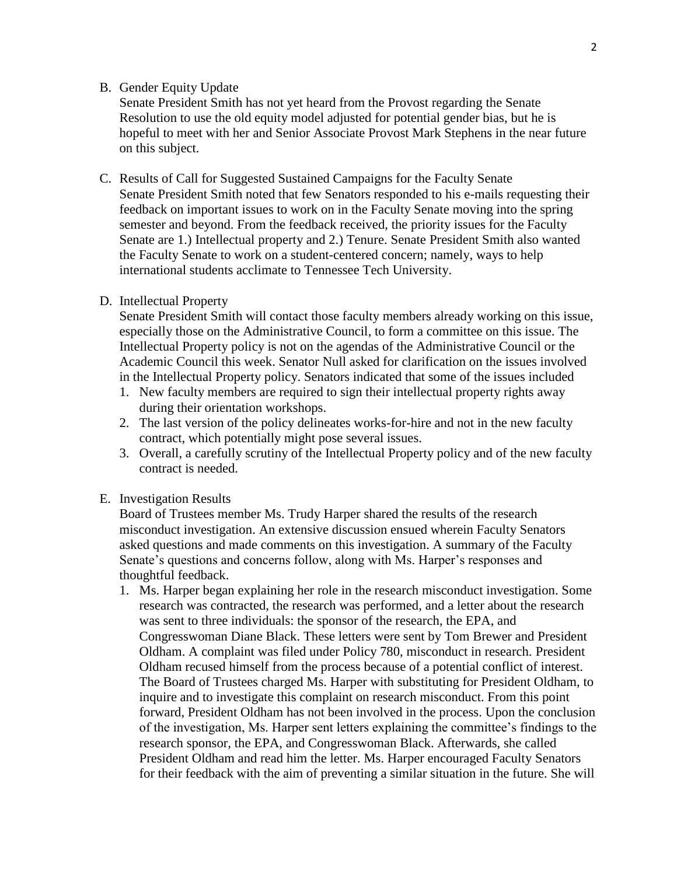# B. Gender Equity Update

Senate President Smith has not yet heard from the Provost regarding the Senate Resolution to use the old equity model adjusted for potential gender bias, but he is hopeful to meet with her and Senior Associate Provost Mark Stephens in the near future on this subject.

C. Results of Call for Suggested Sustained Campaigns for the Faculty Senate Senate President Smith noted that few Senators responded to his e-mails requesting their feedback on important issues to work on in the Faculty Senate moving into the spring semester and beyond. From the feedback received, the priority issues for the Faculty Senate are 1.) Intellectual property and 2.) Tenure. Senate President Smith also wanted the Faculty Senate to work on a student-centered concern; namely, ways to help international students acclimate to Tennessee Tech University.

#### D. Intellectual Property

Senate President Smith will contact those faculty members already working on this issue, especially those on the Administrative Council, to form a committee on this issue. The Intellectual Property policy is not on the agendas of the Administrative Council or the Academic Council this week. Senator Null asked for clarification on the issues involved in the Intellectual Property policy. Senators indicated that some of the issues included

- 1. New faculty members are required to sign their intellectual property rights away during their orientation workshops.
- 2. The last version of the policy delineates works-for-hire and not in the new faculty contract, which potentially might pose several issues.
- 3. Overall, a carefully scrutiny of the Intellectual Property policy and of the new faculty contract is needed.

#### E. Investigation Results

Board of Trustees member Ms. Trudy Harper shared the results of the research misconduct investigation. An extensive discussion ensued wherein Faculty Senators asked questions and made comments on this investigation. A summary of the Faculty Senate's questions and concerns follow, along with Ms. Harper's responses and thoughtful feedback.

1. Ms. Harper began explaining her role in the research misconduct investigation. Some research was contracted, the research was performed, and a letter about the research was sent to three individuals: the sponsor of the research, the EPA, and Congresswoman Diane Black. These letters were sent by Tom Brewer and President Oldham. A complaint was filed under Policy 780, misconduct in research. President Oldham recused himself from the process because of a potential conflict of interest. The Board of Trustees charged Ms. Harper with substituting for President Oldham, to inquire and to investigate this complaint on research misconduct. From this point forward, President Oldham has not been involved in the process. Upon the conclusion of the investigation, Ms. Harper sent letters explaining the committee's findings to the research sponsor, the EPA, and Congresswoman Black. Afterwards, she called President Oldham and read him the letter. Ms. Harper encouraged Faculty Senators for their feedback with the aim of preventing a similar situation in the future. She will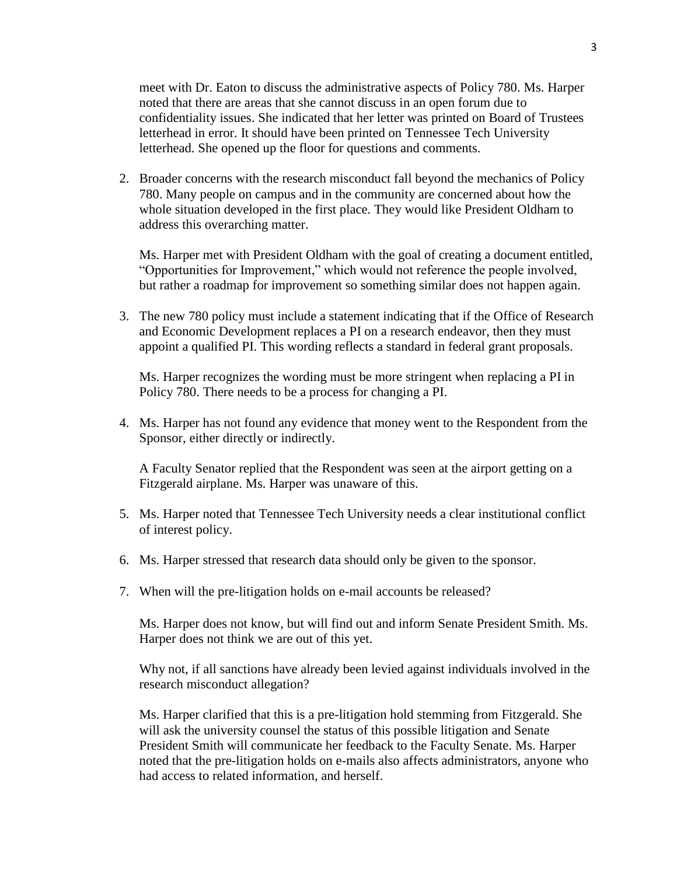meet with Dr. Eaton to discuss the administrative aspects of Policy 780. Ms. Harper noted that there are areas that she cannot discuss in an open forum due to confidentiality issues. She indicated that her letter was printed on Board of Trustees letterhead in error. It should have been printed on Tennessee Tech University letterhead. She opened up the floor for questions and comments.

2. Broader concerns with the research misconduct fall beyond the mechanics of Policy 780. Many people on campus and in the community are concerned about how the whole situation developed in the first place. They would like President Oldham to address this overarching matter.

Ms. Harper met with President Oldham with the goal of creating a document entitled, "Opportunities for Improvement," which would not reference the people involved, but rather a roadmap for improvement so something similar does not happen again.

3. The new 780 policy must include a statement indicating that if the Office of Research and Economic Development replaces a PI on a research endeavor, then they must appoint a qualified PI. This wording reflects a standard in federal grant proposals.

Ms. Harper recognizes the wording must be more stringent when replacing a PI in Policy 780. There needs to be a process for changing a PI.

4. Ms. Harper has not found any evidence that money went to the Respondent from the Sponsor, either directly or indirectly.

A Faculty Senator replied that the Respondent was seen at the airport getting on a Fitzgerald airplane. Ms. Harper was unaware of this.

- 5. Ms. Harper noted that Tennessee Tech University needs a clear institutional conflict of interest policy.
- 6. Ms. Harper stressed that research data should only be given to the sponsor.
- 7. When will the pre-litigation holds on e-mail accounts be released?

Ms. Harper does not know, but will find out and inform Senate President Smith. Ms. Harper does not think we are out of this yet.

Why not, if all sanctions have already been levied against individuals involved in the research misconduct allegation?

Ms. Harper clarified that this is a pre-litigation hold stemming from Fitzgerald. She will ask the university counsel the status of this possible litigation and Senate President Smith will communicate her feedback to the Faculty Senate. Ms. Harper noted that the pre-litigation holds on e-mails also affects administrators, anyone who had access to related information, and herself.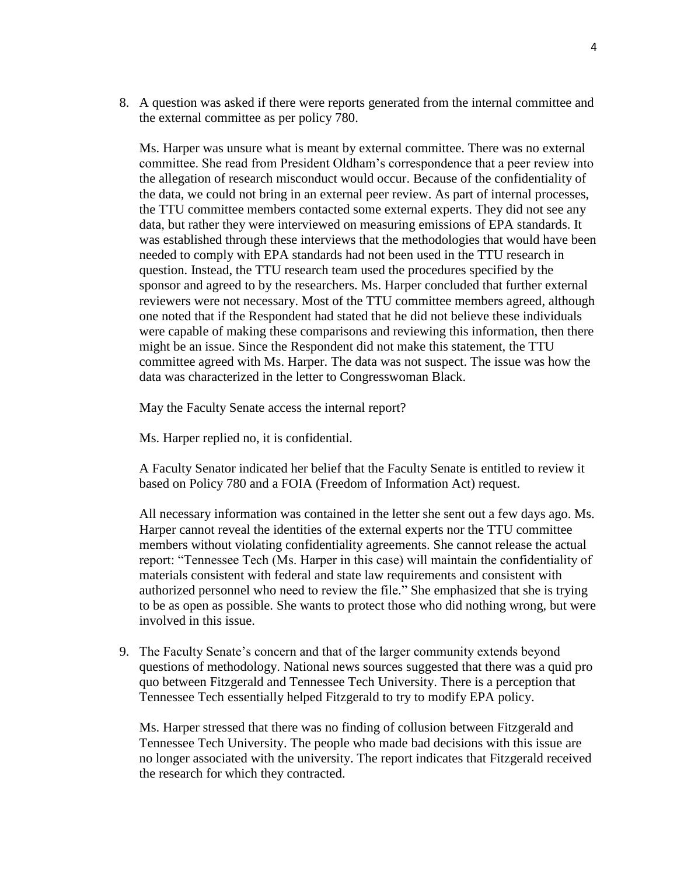8. A question was asked if there were reports generated from the internal committee and the external committee as per policy 780.

Ms. Harper was unsure what is meant by external committee. There was no external committee. She read from President Oldham's correspondence that a peer review into the allegation of research misconduct would occur. Because of the confidentiality of the data, we could not bring in an external peer review. As part of internal processes, the TTU committee members contacted some external experts. They did not see any data, but rather they were interviewed on measuring emissions of EPA standards. It was established through these interviews that the methodologies that would have been needed to comply with EPA standards had not been used in the TTU research in question. Instead, the TTU research team used the procedures specified by the sponsor and agreed to by the researchers. Ms. Harper concluded that further external reviewers were not necessary. Most of the TTU committee members agreed, although one noted that if the Respondent had stated that he did not believe these individuals were capable of making these comparisons and reviewing this information, then there might be an issue. Since the Respondent did not make this statement, the TTU committee agreed with Ms. Harper. The data was not suspect. The issue was how the data was characterized in the letter to Congresswoman Black.

May the Faculty Senate access the internal report?

Ms. Harper replied no, it is confidential.

A Faculty Senator indicated her belief that the Faculty Senate is entitled to review it based on Policy 780 and a FOIA (Freedom of Information Act) request.

All necessary information was contained in the letter she sent out a few days ago. Ms. Harper cannot reveal the identities of the external experts nor the TTU committee members without violating confidentiality agreements. She cannot release the actual report: "Tennessee Tech (Ms. Harper in this case) will maintain the confidentiality of materials consistent with federal and state law requirements and consistent with authorized personnel who need to review the file." She emphasized that she is trying to be as open as possible. She wants to protect those who did nothing wrong, but were involved in this issue.

9. The Faculty Senate's concern and that of the larger community extends beyond questions of methodology. National news sources suggested that there was a quid pro quo between Fitzgerald and Tennessee Tech University. There is a perception that Tennessee Tech essentially helped Fitzgerald to try to modify EPA policy.

Ms. Harper stressed that there was no finding of collusion between Fitzgerald and Tennessee Tech University. The people who made bad decisions with this issue are no longer associated with the university. The report indicates that Fitzgerald received the research for which they contracted.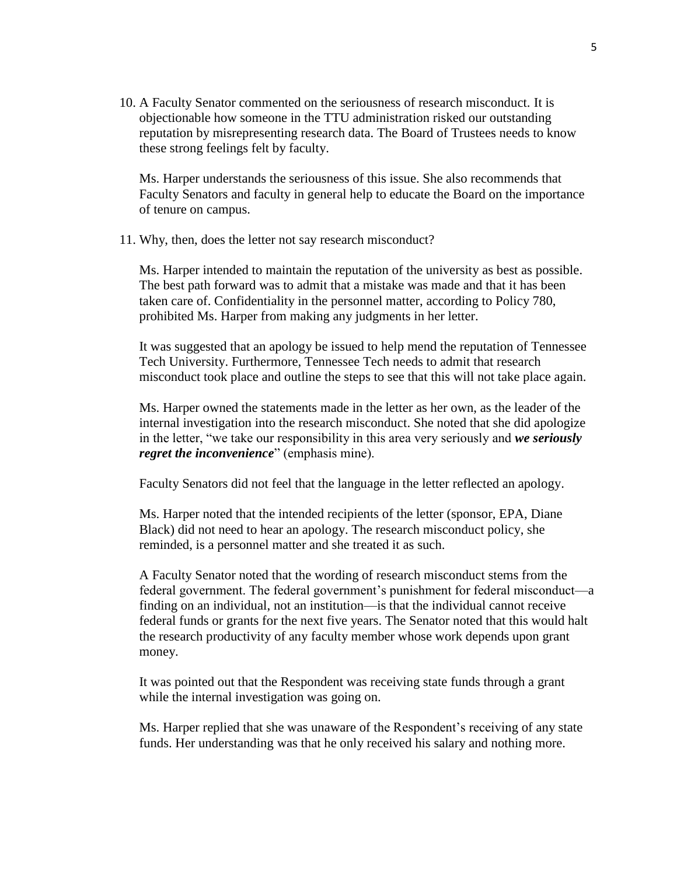10. A Faculty Senator commented on the seriousness of research misconduct. It is objectionable how someone in the TTU administration risked our outstanding reputation by misrepresenting research data. The Board of Trustees needs to know these strong feelings felt by faculty.

Ms. Harper understands the seriousness of this issue. She also recommends that Faculty Senators and faculty in general help to educate the Board on the importance of tenure on campus.

11. Why, then, does the letter not say research misconduct?

Ms. Harper intended to maintain the reputation of the university as best as possible. The best path forward was to admit that a mistake was made and that it has been taken care of. Confidentiality in the personnel matter, according to Policy 780, prohibited Ms. Harper from making any judgments in her letter.

It was suggested that an apology be issued to help mend the reputation of Tennessee Tech University. Furthermore, Tennessee Tech needs to admit that research misconduct took place and outline the steps to see that this will not take place again.

Ms. Harper owned the statements made in the letter as her own, as the leader of the internal investigation into the research misconduct. She noted that she did apologize in the letter, "we take our responsibility in this area very seriously and *we seriously regret the inconvenience*" (emphasis mine).

Faculty Senators did not feel that the language in the letter reflected an apology.

Ms. Harper noted that the intended recipients of the letter (sponsor, EPA, Diane Black) did not need to hear an apology. The research misconduct policy, she reminded, is a personnel matter and she treated it as such.

A Faculty Senator noted that the wording of research misconduct stems from the federal government. The federal government's punishment for federal misconduct—a finding on an individual, not an institution—is that the individual cannot receive federal funds or grants for the next five years. The Senator noted that this would halt the research productivity of any faculty member whose work depends upon grant money.

It was pointed out that the Respondent was receiving state funds through a grant while the internal investigation was going on.

Ms. Harper replied that she was unaware of the Respondent's receiving of any state funds. Her understanding was that he only received his salary and nothing more.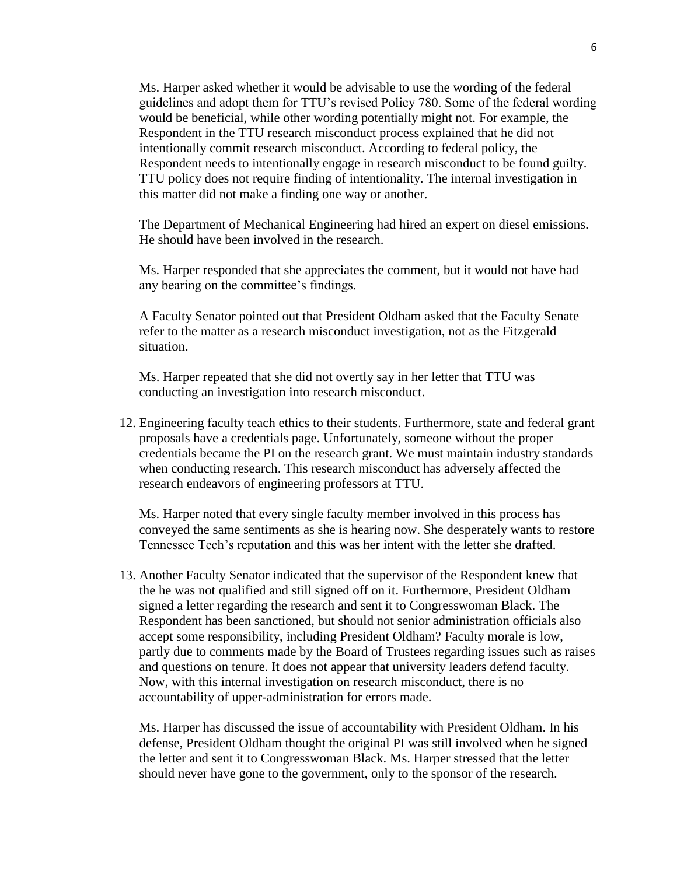Ms. Harper asked whether it would be advisable to use the wording of the federal guidelines and adopt them for TTU's revised Policy 780. Some of the federal wording would be beneficial, while other wording potentially might not. For example, the Respondent in the TTU research misconduct process explained that he did not intentionally commit research misconduct. According to federal policy, the Respondent needs to intentionally engage in research misconduct to be found guilty. TTU policy does not require finding of intentionality. The internal investigation in this matter did not make a finding one way or another.

The Department of Mechanical Engineering had hired an expert on diesel emissions. He should have been involved in the research.

Ms. Harper responded that she appreciates the comment, but it would not have had any bearing on the committee's findings.

A Faculty Senator pointed out that President Oldham asked that the Faculty Senate refer to the matter as a research misconduct investigation, not as the Fitzgerald situation.

Ms. Harper repeated that she did not overtly say in her letter that TTU was conducting an investigation into research misconduct.

12. Engineering faculty teach ethics to their students. Furthermore, state and federal grant proposals have a credentials page. Unfortunately, someone without the proper credentials became the PI on the research grant. We must maintain industry standards when conducting research. This research misconduct has adversely affected the research endeavors of engineering professors at TTU.

Ms. Harper noted that every single faculty member involved in this process has conveyed the same sentiments as she is hearing now. She desperately wants to restore Tennessee Tech's reputation and this was her intent with the letter she drafted.

13. Another Faculty Senator indicated that the supervisor of the Respondent knew that the he was not qualified and still signed off on it. Furthermore, President Oldham signed a letter regarding the research and sent it to Congresswoman Black. The Respondent has been sanctioned, but should not senior administration officials also accept some responsibility, including President Oldham? Faculty morale is low, partly due to comments made by the Board of Trustees regarding issues such as raises and questions on tenure. It does not appear that university leaders defend faculty. Now, with this internal investigation on research misconduct, there is no accountability of upper-administration for errors made.

Ms. Harper has discussed the issue of accountability with President Oldham. In his defense, President Oldham thought the original PI was still involved when he signed the letter and sent it to Congresswoman Black. Ms. Harper stressed that the letter should never have gone to the government, only to the sponsor of the research.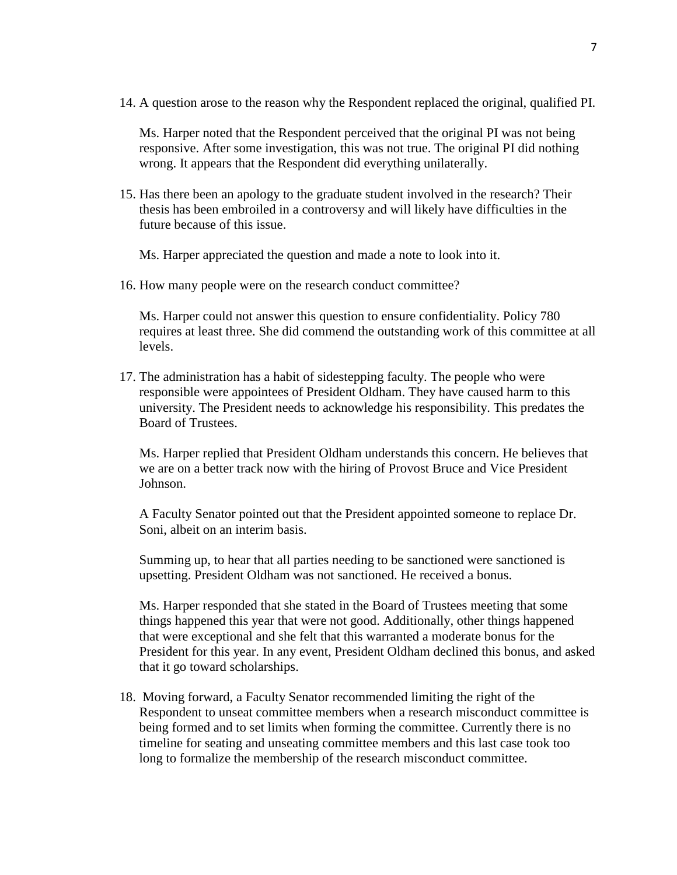14. A question arose to the reason why the Respondent replaced the original, qualified PI.

Ms. Harper noted that the Respondent perceived that the original PI was not being responsive. After some investigation, this was not true. The original PI did nothing wrong. It appears that the Respondent did everything unilaterally.

15. Has there been an apology to the graduate student involved in the research? Their thesis has been embroiled in a controversy and will likely have difficulties in the future because of this issue.

Ms. Harper appreciated the question and made a note to look into it.

16. How many people were on the research conduct committee?

Ms. Harper could not answer this question to ensure confidentiality. Policy 780 requires at least three. She did commend the outstanding work of this committee at all levels.

17. The administration has a habit of sidestepping faculty. The people who were responsible were appointees of President Oldham. They have caused harm to this university. The President needs to acknowledge his responsibility. This predates the Board of Trustees.

Ms. Harper replied that President Oldham understands this concern. He believes that we are on a better track now with the hiring of Provost Bruce and Vice President Johnson.

A Faculty Senator pointed out that the President appointed someone to replace Dr. Soni, albeit on an interim basis.

Summing up, to hear that all parties needing to be sanctioned were sanctioned is upsetting. President Oldham was not sanctioned. He received a bonus.

Ms. Harper responded that she stated in the Board of Trustees meeting that some things happened this year that were not good. Additionally, other things happened that were exceptional and she felt that this warranted a moderate bonus for the President for this year. In any event, President Oldham declined this bonus, and asked that it go toward scholarships.

18. Moving forward, a Faculty Senator recommended limiting the right of the Respondent to unseat committee members when a research misconduct committee is being formed and to set limits when forming the committee. Currently there is no timeline for seating and unseating committee members and this last case took too long to formalize the membership of the research misconduct committee.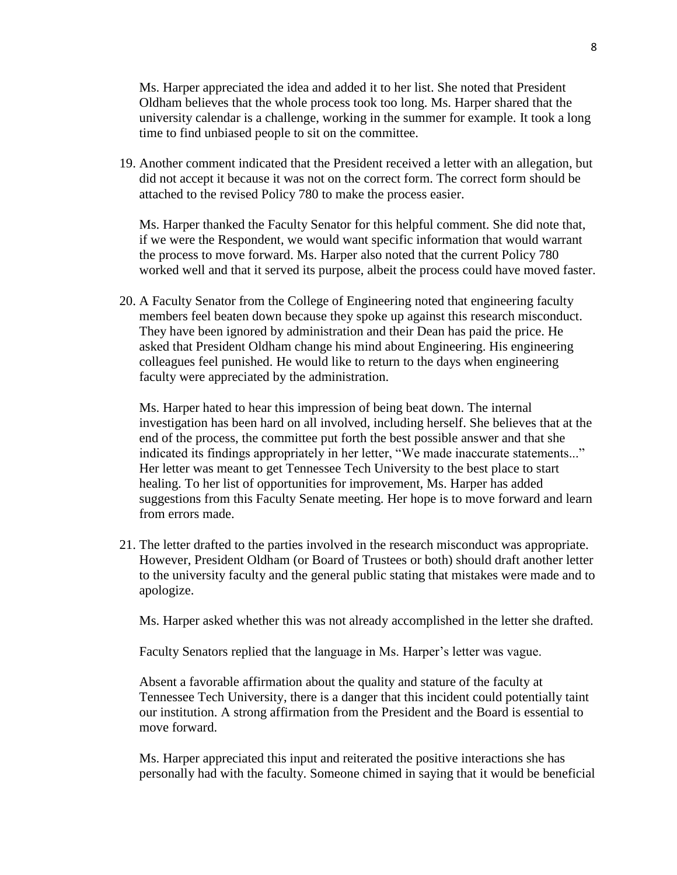Ms. Harper appreciated the idea and added it to her list. She noted that President Oldham believes that the whole process took too long. Ms. Harper shared that the university calendar is a challenge, working in the summer for example. It took a long time to find unbiased people to sit on the committee.

19. Another comment indicated that the President received a letter with an allegation, but did not accept it because it was not on the correct form. The correct form should be attached to the revised Policy 780 to make the process easier.

Ms. Harper thanked the Faculty Senator for this helpful comment. She did note that, if we were the Respondent, we would want specific information that would warrant the process to move forward. Ms. Harper also noted that the current Policy 780 worked well and that it served its purpose, albeit the process could have moved faster.

20. A Faculty Senator from the College of Engineering noted that engineering faculty members feel beaten down because they spoke up against this research misconduct. They have been ignored by administration and their Dean has paid the price. He asked that President Oldham change his mind about Engineering. His engineering colleagues feel punished. He would like to return to the days when engineering faculty were appreciated by the administration.

Ms. Harper hated to hear this impression of being beat down. The internal investigation has been hard on all involved, including herself. She believes that at the end of the process, the committee put forth the best possible answer and that she indicated its findings appropriately in her letter, "We made inaccurate statements..." Her letter was meant to get Tennessee Tech University to the best place to start healing. To her list of opportunities for improvement, Ms. Harper has added suggestions from this Faculty Senate meeting. Her hope is to move forward and learn from errors made.

21. The letter drafted to the parties involved in the research misconduct was appropriate. However, President Oldham (or Board of Trustees or both) should draft another letter to the university faculty and the general public stating that mistakes were made and to apologize.

Ms. Harper asked whether this was not already accomplished in the letter she drafted.

Faculty Senators replied that the language in Ms. Harper's letter was vague.

Absent a favorable affirmation about the quality and stature of the faculty at Tennessee Tech University, there is a danger that this incident could potentially taint our institution. A strong affirmation from the President and the Board is essential to move forward.

Ms. Harper appreciated this input and reiterated the positive interactions she has personally had with the faculty. Someone chimed in saying that it would be beneficial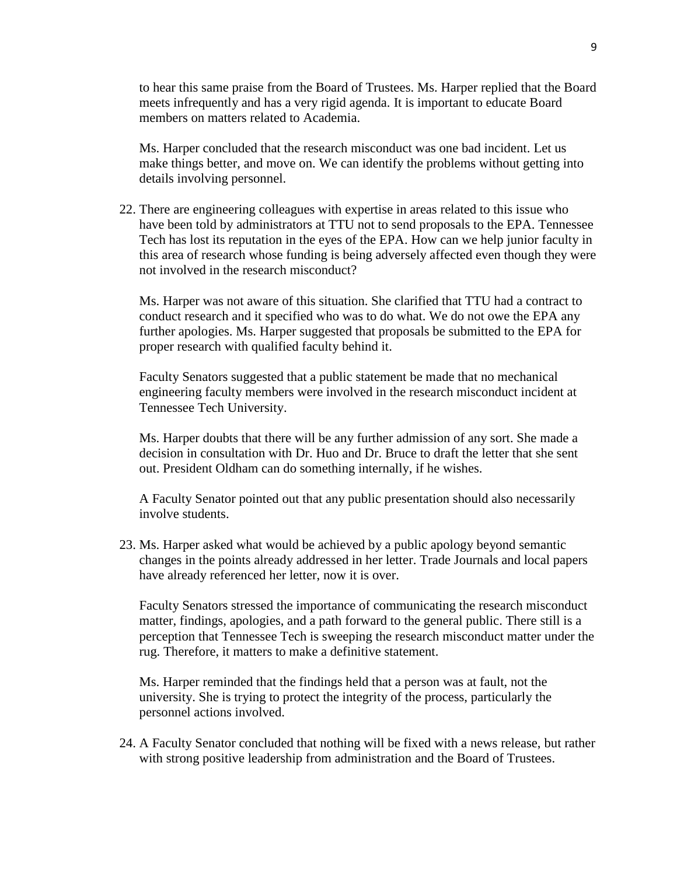to hear this same praise from the Board of Trustees. Ms. Harper replied that the Board meets infrequently and has a very rigid agenda. It is important to educate Board members on matters related to Academia.

Ms. Harper concluded that the research misconduct was one bad incident. Let us make things better, and move on. We can identify the problems without getting into details involving personnel.

22. There are engineering colleagues with expertise in areas related to this issue who have been told by administrators at TTU not to send proposals to the EPA. Tennessee Tech has lost its reputation in the eyes of the EPA. How can we help junior faculty in this area of research whose funding is being adversely affected even though they were not involved in the research misconduct?

Ms. Harper was not aware of this situation. She clarified that TTU had a contract to conduct research and it specified who was to do what. We do not owe the EPA any further apologies. Ms. Harper suggested that proposals be submitted to the EPA for proper research with qualified faculty behind it.

Faculty Senators suggested that a public statement be made that no mechanical engineering faculty members were involved in the research misconduct incident at Tennessee Tech University.

Ms. Harper doubts that there will be any further admission of any sort. She made a decision in consultation with Dr. Huo and Dr. Bruce to draft the letter that she sent out. President Oldham can do something internally, if he wishes.

A Faculty Senator pointed out that any public presentation should also necessarily involve students.

23. Ms. Harper asked what would be achieved by a public apology beyond semantic changes in the points already addressed in her letter. Trade Journals and local papers have already referenced her letter, now it is over.

Faculty Senators stressed the importance of communicating the research misconduct matter, findings, apologies, and a path forward to the general public. There still is a perception that Tennessee Tech is sweeping the research misconduct matter under the rug. Therefore, it matters to make a definitive statement.

Ms. Harper reminded that the findings held that a person was at fault, not the university. She is trying to protect the integrity of the process, particularly the personnel actions involved.

24. A Faculty Senator concluded that nothing will be fixed with a news release, but rather with strong positive leadership from administration and the Board of Trustees.